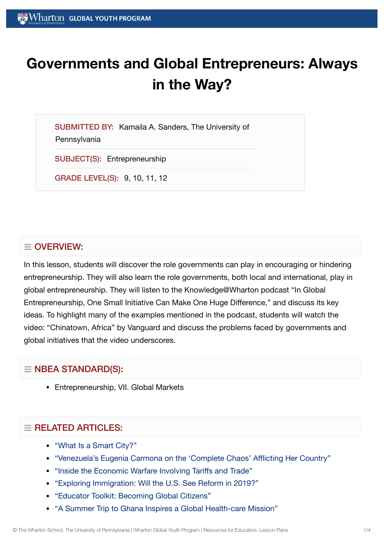# **Governments and Global Entrepreneurs: Always in the Way?**

SUBMITTED BY: Kamaila A. Sanders, The University of **Pennsylvania** 

SUBJECT(S): Entrepreneurship

GRADE LEVEL(S): 9, 10, 11, 12

### $\equiv$  OVERVIEW:

In this lesson, students will discover the role governments can play in encouraging or hindering entrepreneurship. They will also learn the role governments, both local and international, play in global entrepreneurship. They will listen to the Knowledge@Wharton podcast "In Global Entrepreneurship, One Small Initiative Can Make One Huge Difference," and discuss its key ideas. To highlight many of the examples mentioned in the podcast, students will watch the video: "Chinatown, Africa" by Vanguard and discuss the problems faced by governments and global initiatives that the video underscores.

### $\equiv$  NBEA STANDARD(S):

• Entrepreneurship, VII. Global Markets

## $\equiv$  RELATED ARTICLES:

- ["What](https://globalyouth.wharton.upenn.edu/articles/what-is-a-smart-city/) Is a Smart City?"
- ["Venezuela's Eugenia](https://globalyouth.wharton.upenn.edu/articles/venezuela-native-eugenia-carmona/) Carmona on the 'Complete Chaos' Afflicting Her Country"
- "Inside the Economic Warfare Involving [Tariffs and](https://globalyouth.wharton.upenn.edu/articles/economic-warfare-tariffs-trade/) Trade"
- "Exploring [Immigration:](https://globalyouth.wharton.upenn.edu/articles/exploring-immigration-will-u-s-see-reform-in-2019/) Will the U.S. See Reform in 2019?"
- "Educator Toolkit: [Becoming](https://globalyouth.wharton.upenn.edu/articles/august-2017-becoming-global-citizens/) Global Citizens"
- "A Summer Trip to Ghana Inspires a Global [Health-care](https://globalyouth.wharton.upenn.edu/articles/a-summer-trip-to-ghana-inspires-a-global-health-care-mission/) Mission"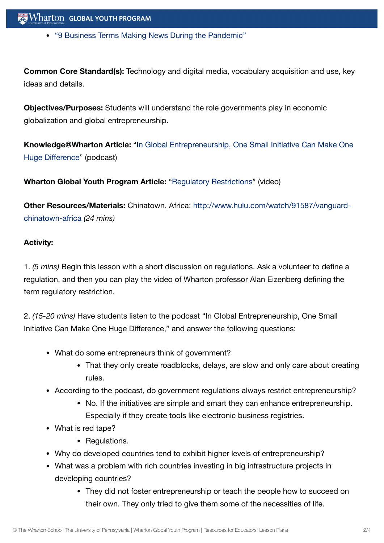"9 [Business Terms Making](https://globalyouth.wharton.upenn.edu/articles/9-business-terms-making-news-pandemic/) News During the Pandemic"

**Common Core Standard(s):** Technology and digital media, vocabulary acquisition and use, key ideas and details.

**Objectives/Purposes:** Students will understand the role governments play in economic globalization and global entrepreneurship.

**[Knowledge@Wharton](http://knowledge.wharton.upenn.edu/article.cfm?articleid=1834) Article:** "In Global Entrepreneurship, One Small Initiative Can Make One Huge Difference" (podcast)

**Wharton Global Youth Program Article:** ["Regulatory Restrictions"](https://globalyouth.wharton.upenn.edu/glossary/regulatory-restrictions/) (video)

**Other Resources/Materials:** Chinatown, Africa: [http://www.hulu.com/watch/91587/vanguard](http://www.hulu.com/watch/91587/vanguard-chinatown-africa)chinatown-africa *(24 mins)*

#### **Activity:**

1. *(5 mins)* Begin this lesson with a short discussion on regulations. Ask a volunteer to define a regulation, and then you can play the video of Wharton professor Alan Eizenberg defining the term regulatory restriction.

2. *(15-20 mins)* Have students listen to the podcast "In Global Entrepreneurship, One Small Initiative Can Make One Huge Difference," and answer the following questions:

- What do some entrepreneurs think of government?
	- That they only create roadblocks, delays, are slow and only care about creating rules.
- According to the podcast, do government regulations always restrict entrepreneurship?
	- No. If the initiatives are simple and smart they can enhance entrepreneurship. Especially if they create tools like electronic business registries.
- What is red tape?
	- Regulations.
- Why do developed countries tend to exhibit higher levels of entrepreneurship?
- What was a problem with rich countries investing in big infrastructure projects in developing countries?
	- They did not foster entrepreneurship or teach the people how to succeed on their own. They only tried to give them some of the necessities of life.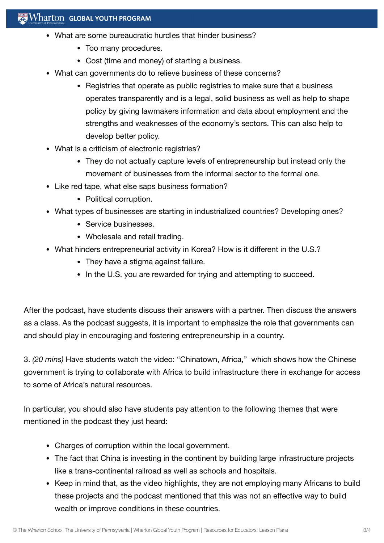#### Wharton GLOBAL YOUTH PROGRAM

- What are some bureaucratic hurdles that hinder business?
	- Too many procedures.
	- Cost (time and money) of starting a business.
- What can governments do to relieve business of these concerns?
	- Registries that operate as public registries to make sure that a business operates transparently and is a legal, solid business as well as help to shape policy by giving lawmakers information and data about employment and the strengths and weaknesses of the economy's sectors. This can also help to develop better policy.
- What is a criticism of electronic registries?
	- They do not actually capture levels of entrepreneurship but instead only the movement of businesses from the informal sector to the formal one.
- Like red tape, what else saps business formation?
	- Political corruption.
- What types of businesses are starting in industrialized countries? Developing ones?
	- Service businesses.
	- Wholesale and retail trading.
- What hinders entrepreneurial activity in Korea? How is it different in the U.S.?
	- They have a stigma against failure.
	- In the U.S. you are rewarded for trying and attempting to succeed.

After the podcast, have students discuss their answers with a partner. Then discuss the answers as a class. As the podcast suggests, it is important to emphasize the role that governments can and should play in encouraging and fostering entrepreneurship in a country.

3. *(20 mins)* Have students watch the video: "Chinatown, Africa," which shows how the Chinese government is trying to collaborate with Africa to build infrastructure there in exchange for access to some of Africa's natural resources.

In particular, you should also have students pay attention to the following themes that were mentioned in the podcast they just heard:

- Charges of corruption within the local government.
- The fact that China is investing in the continent by building large infrastructure projects like a trans-continental railroad as well as schools and hospitals.
- Keep in mind that, as the video highlights, they are not employing many Africans to build these projects and the podcast mentioned that this was not an effective way to build wealth or improve conditions in these countries.